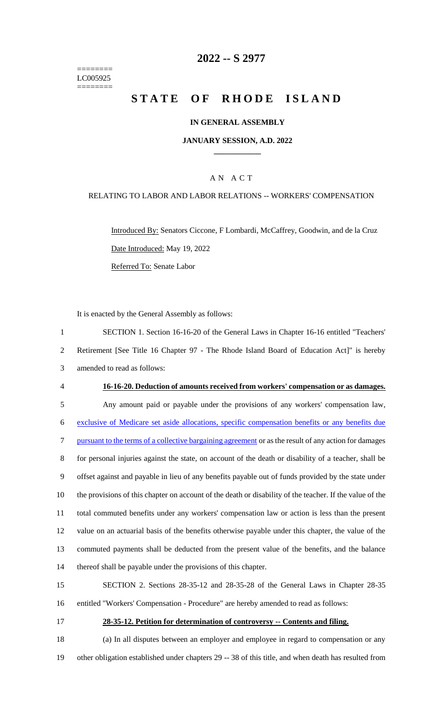======== LC005925 ========

# **-- S 2977**

# **STATE OF RHODE ISLAND**

### **IN GENERAL ASSEMBLY**

#### **JANUARY SESSION, A.D. 2022 \_\_\_\_\_\_\_\_\_\_\_\_**

## A N A C T

### RELATING TO LABOR AND LABOR RELATIONS -- WORKERS' COMPENSATION

Introduced By: Senators Ciccone, F Lombardi, McCaffrey, Goodwin, and de la Cruz Date Introduced: May 19, 2022 Referred To: Senate Labor

It is enacted by the General Assembly as follows:

 SECTION 1. Section 16-16-20 of the General Laws in Chapter 16-16 entitled "Teachers' Retirement [See Title 16 Chapter 97 - The Rhode Island Board of Education Act]" is hereby amended to read as follows: **16-16-20. Deduction of amounts received from workers' compensation or as damages.** Any amount paid or payable under the provisions of any workers' compensation law, exclusive of Medicare set aside allocations, specific compensation benefits or any benefits due pursuant to the terms of a collective bargaining agreement or as the result of any action for damages for personal injuries against the state, on account of the death or disability of a teacher, shall be offset against and payable in lieu of any benefits payable out of funds provided by the state under the provisions of this chapter on account of the death or disability of the teacher. If the value of the total commuted benefits under any workers' compensation law or action is less than the present value on an actuarial basis of the benefits otherwise payable under this chapter, the value of the commuted payments shall be deducted from the present value of the benefits, and the balance thereof shall be payable under the provisions of this chapter.

 SECTION 2. Sections 28-35-12 and 28-35-28 of the General Laws in Chapter 28-35 entitled "Workers' Compensation - Procedure" are hereby amended to read as follows:

# **28-35-12. Petition for determination of controversy -- Contents and filing.**

 (a) In all disputes between an employer and employee in regard to compensation or any other obligation established under chapters 29 -- 38 of this title, and when death has resulted from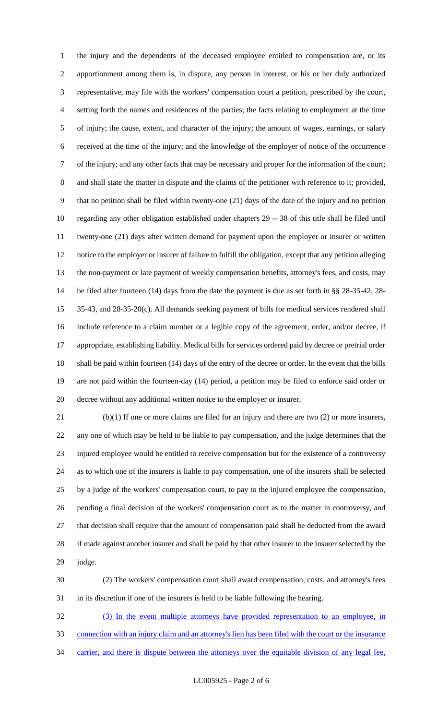the injury and the dependents of the deceased employee entitled to compensation are, or its apportionment among them is, in dispute, any person in interest, or his or her duly authorized representative, may file with the workers' compensation court a petition, prescribed by the court, setting forth the names and residences of the parties; the facts relating to employment at the time of injury; the cause, extent, and character of the injury; the amount of wages, earnings, or salary received at the time of the injury; and the knowledge of the employer of notice of the occurrence of the injury; and any other facts that may be necessary and proper for the information of the court; and shall state the matter in dispute and the claims of the petitioner with reference to it; provided, that no petition shall be filed within twenty-one (21) days of the date of the injury and no petition regarding any other obligation established under chapters 29 -- 38 of this title shall be filed until twenty-one (21) days after written demand for payment upon the employer or insurer or written notice to the employer or insurer of failure to fulfill the obligation, except that any petition alleging the non-payment or late payment of weekly compensation benefits, attorney's fees, and costs, may be filed after fourteen (14) days from the date the payment is due as set forth in §§ 28-35-42, 28- 35-43, and 28-35-20(c). All demands seeking payment of bills for medical services rendered shall include reference to a claim number or a legible copy of the agreement, order, and/or decree, if appropriate, establishing liability. Medical bills for services ordered paid by decree or pretrial order shall be paid within fourteen (14) days of the entry of the decree or order. In the event that the bills are not paid within the fourteen-day (14) period, a petition may be filed to enforce said order or decree without any additional written notice to the employer or insurer.

 (b)(1) If one or more claims are filed for an injury and there are two (2) or more insurers, any one of which may be held to be liable to pay compensation, and the judge determines that the injured employee would be entitled to receive compensation but for the existence of a controversy as to which one of the insurers is liable to pay compensation, one of the insurers shall be selected by a judge of the workers' compensation court, to pay to the injured employee the compensation, pending a final decision of the workers' compensation court as to the matter in controversy, and that decision shall require that the amount of compensation paid shall be deducted from the award if made against another insurer and shall be paid by that other insurer to the insurer selected by the judge.

 (2) The workers' compensation court shall award compensation, costs, and attorney's fees in its discretion if one of the insurers is held to be liable following the hearing.

 (3) In the event multiple attorneys have provided representation to an employee, in connection with an injury claim and an attorney's lien has been filed with the court or the insurance 34 carrier, and there is dispute between the attorneys over the equitable division of any legal fee,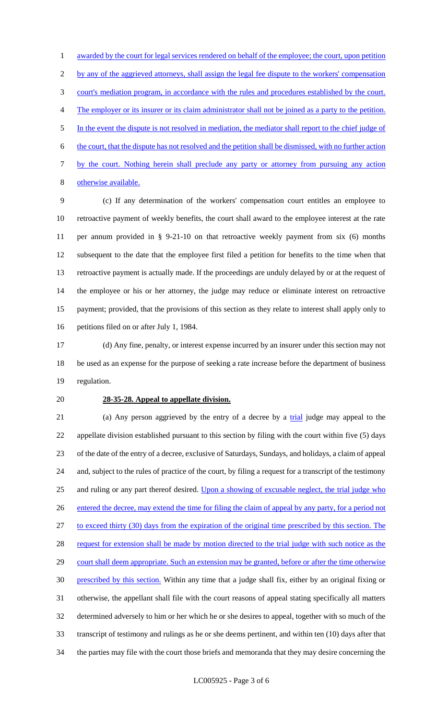1 awarded by the court for legal services rendered on behalf of the employee; the court, upon petition 2 by any of the aggrieved attorneys, shall assign the legal fee dispute to the workers' compensation court's mediation program, in accordance with the rules and procedures established by the court. The employer or its insurer or its claim administrator shall not be joined as a party to the petition. In the event the dispute is not resolved in mediation, the mediator shall report to the chief judge of the court, that the dispute has not resolved and the petition shall be dismissed, with no further action by the court. Nothing herein shall preclude any party or attorney from pursuing any action otherwise available.

 (c) If any determination of the workers' compensation court entitles an employee to retroactive payment of weekly benefits, the court shall award to the employee interest at the rate per annum provided in § 9-21-10 on that retroactive weekly payment from six (6) months subsequent to the date that the employee first filed a petition for benefits to the time when that retroactive payment is actually made. If the proceedings are unduly delayed by or at the request of the employee or his or her attorney, the judge may reduce or eliminate interest on retroactive payment; provided, that the provisions of this section as they relate to interest shall apply only to petitions filed on or after July 1, 1984.

 (d) Any fine, penalty, or interest expense incurred by an insurer under this section may not be used as an expense for the purpose of seeking a rate increase before the department of business regulation.

## **28-35-28. Appeal to appellate division.**

21 (a) Any person aggrieved by the entry of a decree by a trial judge may appeal to the appellate division established pursuant to this section by filing with the court within five (5) days of the date of the entry of a decree, exclusive of Saturdays, Sundays, and holidays, a claim of appeal and, subject to the rules of practice of the court, by filing a request for a transcript of the testimony and ruling or any part thereof desired. Upon a showing of excusable neglect, the trial judge who entered the decree, may extend the time for filing the claim of appeal by any party, for a period not to exceed thirty (30) days from the expiration of the original time prescribed by this section. The 28 request for extension shall be made by motion directed to the trial judge with such notice as the 29 court shall deem appropriate. Such an extension may be granted, before or after the time otherwise prescribed by this section. Within any time that a judge shall fix, either by an original fixing or otherwise, the appellant shall file with the court reasons of appeal stating specifically all matters determined adversely to him or her which he or she desires to appeal, together with so much of the transcript of testimony and rulings as he or she deems pertinent, and within ten (10) days after that the parties may file with the court those briefs and memoranda that they may desire concerning the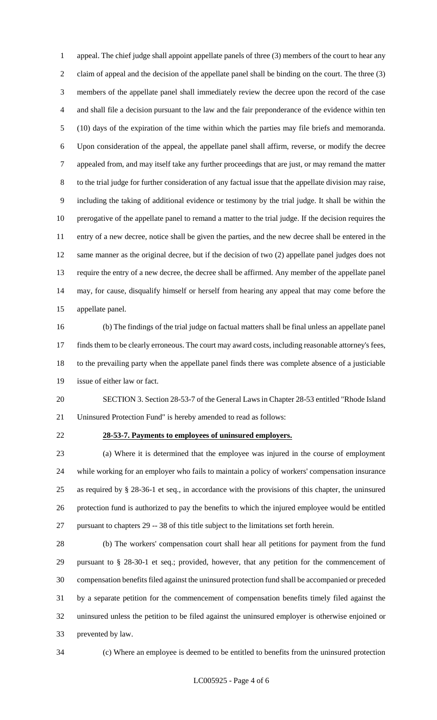appeal. The chief judge shall appoint appellate panels of three (3) members of the court to hear any claim of appeal and the decision of the appellate panel shall be binding on the court. The three (3) members of the appellate panel shall immediately review the decree upon the record of the case and shall file a decision pursuant to the law and the fair preponderance of the evidence within ten (10) days of the expiration of the time within which the parties may file briefs and memoranda. Upon consideration of the appeal, the appellate panel shall affirm, reverse, or modify the decree appealed from, and may itself take any further proceedings that are just, or may remand the matter to the trial judge for further consideration of any factual issue that the appellate division may raise, including the taking of additional evidence or testimony by the trial judge. It shall be within the prerogative of the appellate panel to remand a matter to the trial judge. If the decision requires the entry of a new decree, notice shall be given the parties, and the new decree shall be entered in the same manner as the original decree, but if the decision of two (2) appellate panel judges does not require the entry of a new decree, the decree shall be affirmed. Any member of the appellate panel may, for cause, disqualify himself or herself from hearing any appeal that may come before the appellate panel.

 (b) The findings of the trial judge on factual matters shall be final unless an appellate panel finds them to be clearly erroneous. The court may award costs, including reasonable attorney's fees, to the prevailing party when the appellate panel finds there was complete absence of a justiciable issue of either law or fact.

 SECTION 3. Section 28-53-7 of the General Laws in Chapter 28-53 entitled "Rhode Island Uninsured Protection Fund" is hereby amended to read as follows:

#### **28-53-7. Payments to employees of uninsured employers.**

 (a) Where it is determined that the employee was injured in the course of employment while working for an employer who fails to maintain a policy of workers' compensation insurance as required by § 28-36-1 et seq., in accordance with the provisions of this chapter, the uninsured protection fund is authorized to pay the benefits to which the injured employee would be entitled pursuant to chapters 29 -- 38 of this title subject to the limitations set forth herein.

 (b) The workers' compensation court shall hear all petitions for payment from the fund pursuant to § 28-30-1 et seq.; provided, however, that any petition for the commencement of compensation benefits filed against the uninsured protection fund shall be accompanied or preceded by a separate petition for the commencement of compensation benefits timely filed against the uninsured unless the petition to be filed against the uninsured employer is otherwise enjoined or prevented by law.

(c) Where an employee is deemed to be entitled to benefits from the uninsured protection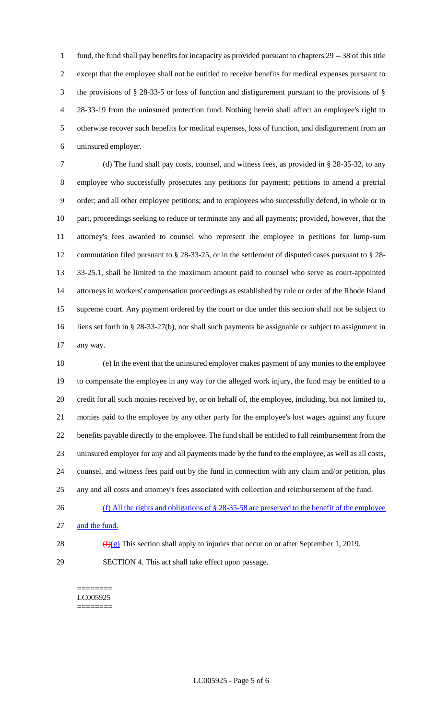fund, the fund shall pay benefits for incapacity as provided pursuant to chapters 29 -- 38 of this title except that the employee shall not be entitled to receive benefits for medical expenses pursuant to the provisions of § 28-33-5 or loss of function and disfigurement pursuant to the provisions of § 28-33-19 from the uninsured protection fund. Nothing herein shall affect an employee's right to otherwise recover such benefits for medical expenses, loss of function, and disfigurement from an uninsured employer.

 (d) The fund shall pay costs, counsel, and witness fees, as provided in § 28-35-32, to any employee who successfully prosecutes any petitions for payment; petitions to amend a pretrial order; and all other employee petitions; and to employees who successfully defend, in whole or in part, proceedings seeking to reduce or terminate any and all payments; provided, however, that the attorney's fees awarded to counsel who represent the employee in petitions for lump-sum commutation filed pursuant to § 28-33-25, or in the settlement of disputed cases pursuant to § 28- 33-25.1, shall be limited to the maximum amount paid to counsel who serve as court-appointed attorneys in workers' compensation proceedings as established by rule or order of the Rhode Island supreme court. Any payment ordered by the court or due under this section shall not be subject to liens set forth in § 28-33-27(b), nor shall such payments be assignable or subject to assignment in any way.

 (e) In the event that the uninsured employer makes payment of any monies to the employee to compensate the employee in any way for the alleged work injury, the fund may be entitled to a credit for all such monies received by, or on behalf of, the employee, including, but not limited to, monies paid to the employee by any other party for the employee's lost wages against any future benefits payable directly to the employee. The fund shall be entitled to full reimbursement from the uninsured employer for any and all payments made by the fund to the employee, as well as all costs, counsel, and witness fees paid out by the fund in connection with any claim and/or petition, plus any and all costs and attorney's fees associated with collection and reimbursement of the fund.

- (f) All the rights and obligations of § 28-35-58 are preserved to the benefit of the employee
- and the fund.
- 
- 28  $(f)(g)$  This section shall apply to injuries that occur on or after September 1, 2019.
- SECTION 4. This act shall take effect upon passage.

======== LC005925 ========